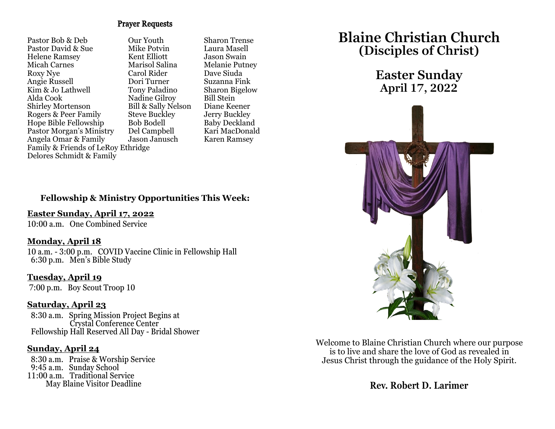### Prayer Requests

Pastor Bob & Deb Cur Youth Sharon Trense<br>Pastor David & Sue Mike Potvin Laura Masell Pastor David & Sue Helene Ramsey Kent Elliott Jason Swain Micah Carnes Marisol Salina Melanie Putney Roxy Nye Carol Rider Dave Siuda Angie Russell Kim & Jo Lathwell Tony Paladino Sharon Bigelow<br>Alda Cook Nadine Gilrov Bill Stein Shirley Mortenson Bill & Sally Nelson Diane Keener<br>Rogers & Peer Family Steve Buckley Jerry Buckley Rogers & Peer Family Steve Buckley Jerry Buckley<br>
Hope Bible Fellowship Bob Bodell Baby Deckland Hope Bible Fellowship Bob Bodell Baby Deckland<br>Pastor Morgan's Ministry Del Campbell Kari MacDonald Pastor Morgan's Ministry Angela Omar & Family Jason Janusch Karen Ramsey Family & Friends of LeRoy Ethridge Delores Schmidt & Family

Nadine Gilroy Bill Stein<br>Bill & Sally Nelson Diane Keener

### **Fellowship & Ministry Opportunities This Week:**

### **Easter Sunday, April 17, 2022**

10:00 a.m. One Combined Service

### **Monday, April 18**

10 a.m. - 3:00 p.m. COVID Vaccine Clinic in Fellowship Hall 6:30 p.m. Men's Bible Study

**Tuesday, April 19** 7:00 p.m. Boy Scout Troop 10

### **Saturday, April 23**

 8:30 a.m. Spring Mission Project Begins at Crystal Conference Center Fellowship Hall Reserved All Day - Bridal Shower

### **Sunday, April 24**

 8:30 a.m. Praise & Worship Service 9:45 a.m. Sunday School 11:00 a.m. Traditional Service May Blaine Visitor Deadline

# **Blaine Christian Church (Disciples of Christ)**

## **Easter Sunday April 17, 2022**



Welcome to Blaine Christian Church where our purpose is to live and share the love of God as revealed in Jesus Christ through the guidance of the Holy Spirit.

**Rev. Robert D. Larimer**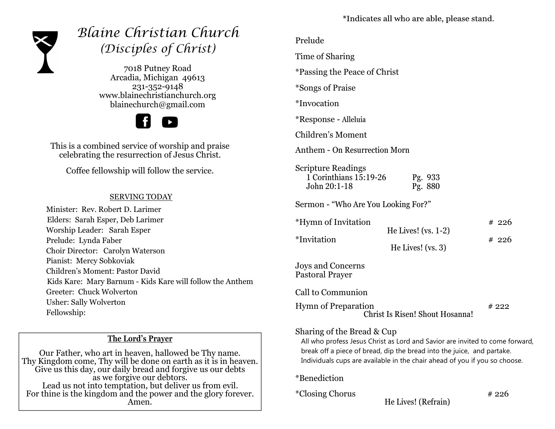

# *Blaine Christian Church (Disciples of Christ)*

7018 Putney Road Arcadia, Michigan 49613 231-352-9148 www.blainechristianchurch.org blainechurch@gmail.com



This is a combined service of worship and praise celebrating the resurrection of Jesus Christ.

Coffee fellowship will follow the service.

### SERVING TODAY

 Minister: Rev. Robert D. Larimer Elders: Sarah Esper, Deb Larimer Worship Leader: Sarah Esper Prelude: Lynda Faber Choir Director: Carolyn Waterson Pianist: Mercy Sobkoviak Children's Moment: Pastor David Kids Kare: Mary Barnum - Kids Kare will follow the Anthem Greeter: Chuck Wolverton Usher: Sally Wolverton Fellowship:

### **The Lord's Prayer**

Our Father, who art in heaven, hallowed be Thy name. Thy Kingdom come, Thy will be done on earth as it is in heaven. Give us this day, our daily bread and forgive us our debts as we forgive our debtors. Lead us not into temptation, but deliver us from evil. For thine is the kingdom and the power and the glory forever. Amen.

\*Indicates all who are able, please stand.

Time of Sharing

\*Passing the Peace of Christ

\*Songs of Praise

\*Invocation

\*Response - Alleluia

Children's Moment

Anthem - On Resurrection Morn

Scripture Readings 1 Corinthians 15:19-26 Pg. 933 John 20:1-18 Pg. 880

Sermon - "Who Are You Looking For?"

| <i>*</i> Hymn of Invitation |                       | #226 |
|-----------------------------|-----------------------|------|
|                             | He Lives! $(vs. 1-2)$ |      |
| *Invitation                 |                       | #226 |
|                             | He Lives! $(vs. 3)$   |      |

Joys and Concerns Pastoral Prayer

Call to Communion

Hymn of Preparation # 222 Christ Is Risen! Shout Hosanna!

### Sharing of the Bread & Cup

 All who profess Jesus Christ as Lord and Savior are invited to come forward, break off a piece of bread, dip the bread into the juice, and partake. Individuals cups are available in the chair ahead of you if you so choose.

\*Benediction

 $*Closing Chorus$   $*226$ 

He Lives! (Refrain)